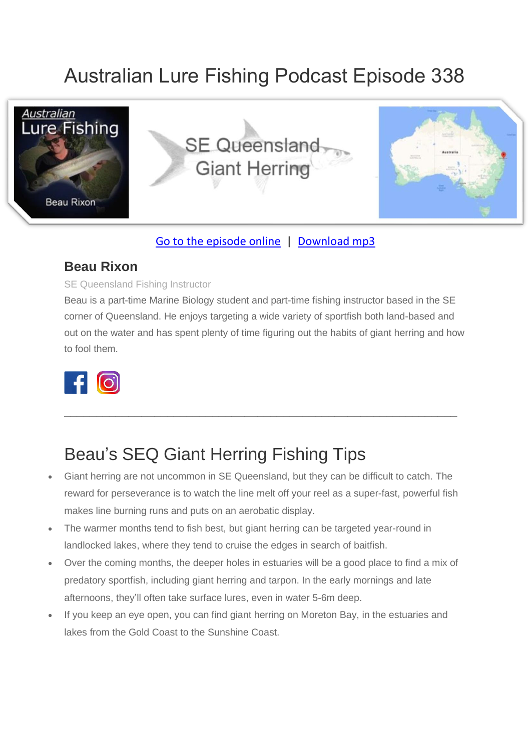# Australian Lure Fishing Podcast Episode 338



### [Go to the episode online](https://doclures.com/se-queensland-giant-herring-beau-rixon/) | [Download mp3](https://traffic.libsyn.com/secure/doclures/seq-giant-herring-beau-rixon.mp3)

### **Beau Rixon**

#### SE Queensland Fishing Instructor

Beau is a part-time Marine Biology student and part-time fishing instructor based in the SE corner of Queensland. He enjoys targeting a wide variety of sportfish both land-based and out on the water and has spent plenty of time figuring out the habits of giant herring and how to fool them.

 $\_$  , and the set of the set of the set of the set of the set of the set of the set of the set of the set of the set of the set of the set of the set of the set of the set of the set of the set of the set of the set of th



## Beau's SEQ Giant Herring Fishing Tips

- Giant herring are not uncommon in SE Queensland, but they can be difficult to catch. The reward for perseverance is to watch the line melt off your reel as a super-fast, powerful fish makes line burning runs and puts on an aerobatic display.
- The warmer months tend to fish best, but giant herring can be targeted year-round in landlocked lakes, where they tend to cruise the edges in search of baitfish.
- Over the coming months, the deeper holes in estuaries will be a good place to find a mix of predatory sportfish, including giant herring and tarpon. In the early mornings and late afternoons, they'll often take surface lures, even in water 5-6m deep.
- If you keep an eye open, you can find giant herring on Moreton Bay, in the estuaries and lakes from the Gold Coast to the Sunshine Coast.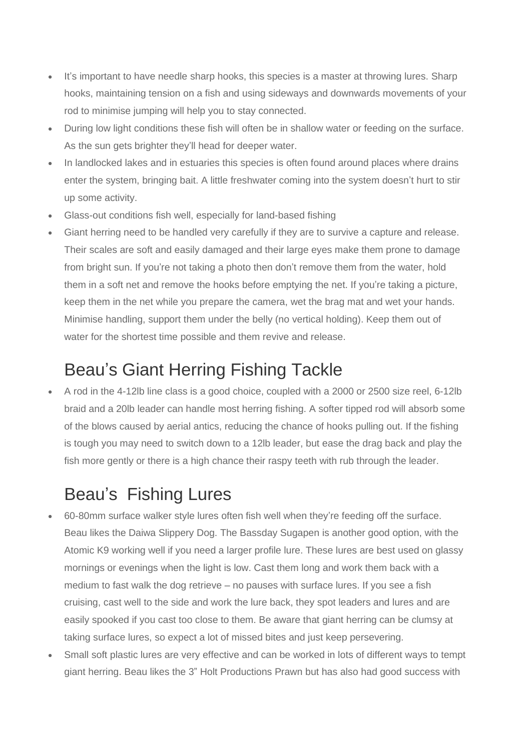- It's important to have needle sharp hooks, this species is a master at throwing lures. Sharp hooks, maintaining tension on a fish and using sideways and downwards movements of your rod to minimise jumping will help you to stay connected.
- During low light conditions these fish will often be in shallow water or feeding on the surface. As the sun gets brighter they'll head for deeper water.
- In landlocked lakes and in estuaries this species is often found around places where drains enter the system, bringing bait. A little freshwater coming into the system doesn't hurt to stir up some activity.
- Glass-out conditions fish well, especially for land-based fishing
- Giant herring need to be handled very carefully if they are to survive a capture and release. Their scales are soft and easily damaged and their large eyes make them prone to damage from bright sun. If you're not taking a photo then don't remove them from the water, hold them in a soft net and remove the hooks before emptying the net. If you're taking a picture, keep them in the net while you prepare the camera, wet the brag mat and wet your hands. Minimise handling, support them under the belly (no vertical holding). Keep them out of water for the shortest time possible and them revive and release.

### Beau's Giant Herring Fishing Tackle

• A rod in the 4-12lb line class is a good choice, coupled with a 2000 or 2500 size reel, 6-12lb braid and a 20lb leader can handle most herring fishing. A softer tipped rod will absorb some of the blows caused by aerial antics, reducing the chance of hooks pulling out. If the fishing is tough you may need to switch down to a 12lb leader, but ease the drag back and play the fish more gently or there is a high chance their raspy teeth with rub through the leader.

## Beau's Fishing Lures

- 60-80mm surface walker style lures often fish well when they're feeding off the surface. Beau likes the Daiwa Slippery Dog. The Bassday Sugapen is another good option, with the Atomic K9 working well if you need a larger profile lure. These lures are best used on glassy mornings or evenings when the light is low. Cast them long and work them back with a medium to fast walk the dog retrieve – no pauses with surface lures. If you see a fish cruising, cast well to the side and work the lure back, they spot leaders and lures and are easily spooked if you cast too close to them. Be aware that giant herring can be clumsy at taking surface lures, so expect a lot of missed bites and just keep persevering.
- Small soft plastic lures are very effective and can be worked in lots of different ways to tempt giant herring. Beau likes the 3" Holt Productions Prawn but has also had good success with